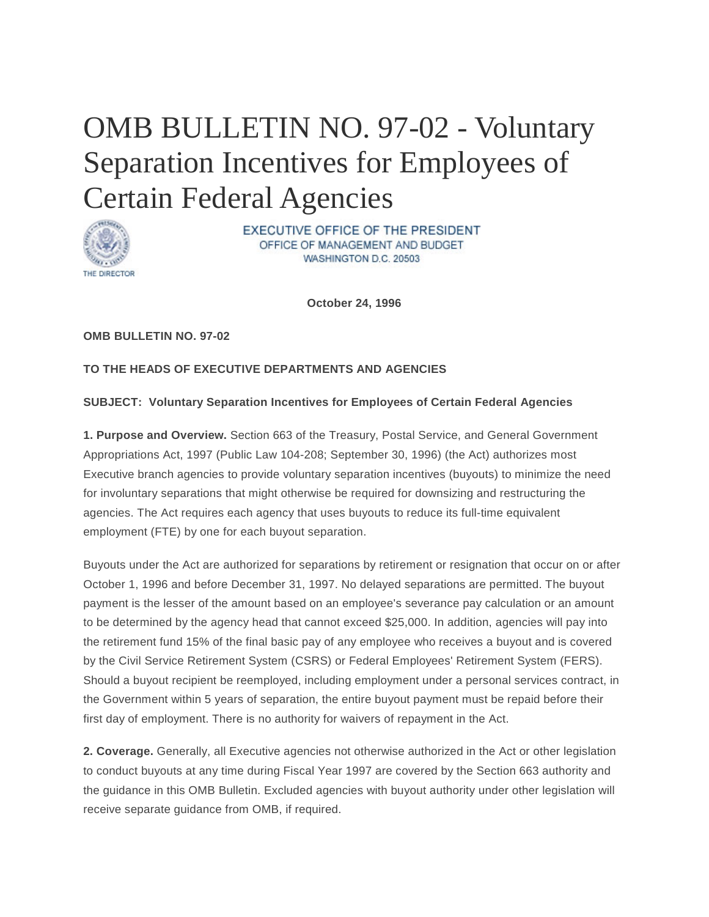# OMB BULLETIN NO. 97-02 - Voluntary Separation Incentives for Employees of Certain Federal Agencies



EXECUTIVE OFFICE OF THE PRESIDENT OFFICE OF MANAGEMENT AND BUDGET WASHINGTON D.C. 20503

**October 24, 1996**

**OMB BULLETIN NO. 97-02**

## **TO THE HEADS OF EXECUTIVE DEPARTMENTS AND AGENCIES**

## **SUBJECT: Voluntary Separation Incentives for Employees of Certain Federal Agencies**

**1. Purpose and Overview.** Section 663 of the Treasury, Postal Service, and General Government Appropriations Act, 1997 (Public Law 104-208; September 30, 1996) (the Act) authorizes most Executive branch agencies to provide voluntary separation incentives (buyouts) to minimize the need for involuntary separations that might otherwise be required for downsizing and restructuring the agencies. The Act requires each agency that uses buyouts to reduce its full-time equivalent employment (FTE) by one for each buyout separation.

Buyouts under the Act are authorized for separations by retirement or resignation that occur on or after October 1, 1996 and before December 31, 1997. No delayed separations are permitted. The buyout payment is the lesser of the amount based on an employee's severance pay calculation or an amount to be determined by the agency head that cannot exceed \$25,000. In addition, agencies will pay into the retirement fund 15% of the final basic pay of any employee who receives a buyout and is covered by the Civil Service Retirement System (CSRS) or Federal Employees' Retirement System (FERS). Should a buyout recipient be reemployed, including employment under a personal services contract, in the Government within 5 years of separation, the entire buyout payment must be repaid before their first day of employment. There is no authority for waivers of repayment in the Act.

**2. Coverage.** Generally, all Executive agencies not otherwise authorized in the Act or other legislation to conduct buyouts at any time during Fiscal Year 1997 are covered by the Section 663 authority and the guidance in this OMB Bulletin. Excluded agencies with buyout authority under other legislation will receive separate guidance from OMB, if required.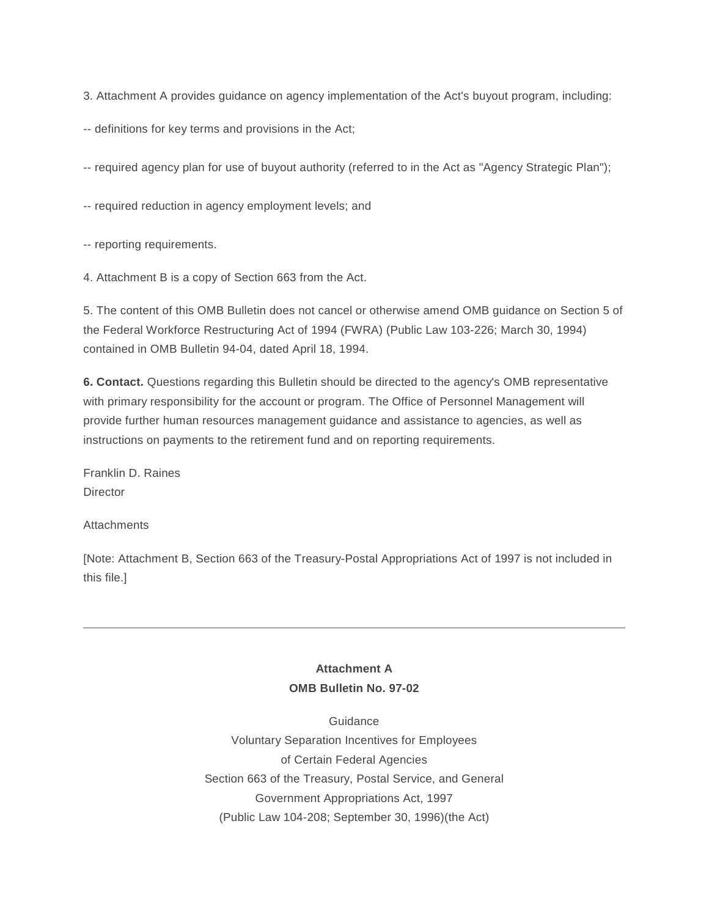3. Attachment A provides guidance on agency implementation of the Act's buyout program, including:

-- definitions for key terms and provisions in the Act;

-- required agency plan for use of buyout authority (referred to in the Act as "Agency Strategic Plan");

-- required reduction in agency employment levels; and

-- reporting requirements.

4. Attachment B is a copy of Section 663 from the Act.

5. The content of this OMB Bulletin does not cancel or otherwise amend OMB guidance on Section 5 of the Federal Workforce Restructuring Act of 1994 (FWRA) (Public Law 103-226; March 30, 1994) contained in OMB Bulletin 94-04, dated April 18, 1994.

**6. Contact.** Questions regarding this Bulletin should be directed to the agency's OMB representative with primary responsibility for the account or program. The Office of Personnel Management will provide further human resources management guidance and assistance to agencies, as well as instructions on payments to the retirement fund and on reporting requirements.

Franklin D. Raines **Director** 

**Attachments** 

[Note: Attachment B, Section 663 of the Treasury-Postal Appropriations Act of 1997 is not included in this file.]

# **Attachment A OMB Bulletin No. 97-02**

Guidance Voluntary Separation Incentives for Employees of Certain Federal Agencies Section 663 of the Treasury, Postal Service, and General Government Appropriations Act, 1997 (Public Law 104-208; September 30, 1996)(the Act)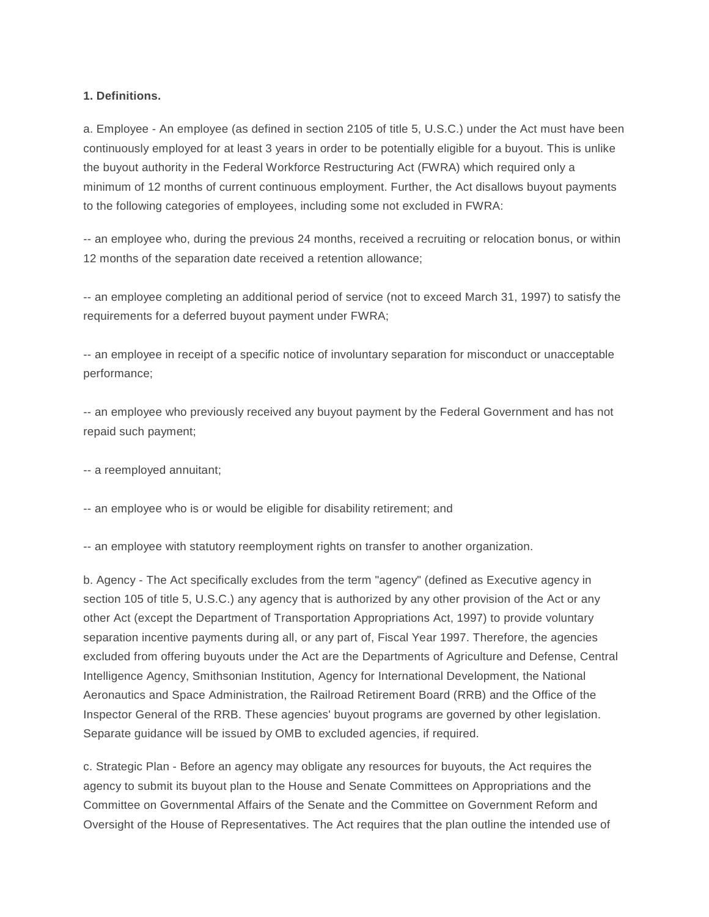#### **1. Definitions.**

a. Employee - An employee (as defined in section 2105 of title 5, U.S.C.) under the Act must have been continuously employed for at least 3 years in order to be potentially eligible for a buyout. This is unlike the buyout authority in the Federal Workforce Restructuring Act (FWRA) which required only a minimum of 12 months of current continuous employment. Further, the Act disallows buyout payments to the following categories of employees, including some not excluded in FWRA:

-- an employee who, during the previous 24 months, received a recruiting or relocation bonus, or within 12 months of the separation date received a retention allowance;

-- an employee completing an additional period of service (not to exceed March 31, 1997) to satisfy the requirements for a deferred buyout payment under FWRA;

-- an employee in receipt of a specific notice of involuntary separation for misconduct or unacceptable performance;

-- an employee who previously received any buyout payment by the Federal Government and has not repaid such payment;

-- a reemployed annuitant;

-- an employee who is or would be eligible for disability retirement; and

-- an employee with statutory reemployment rights on transfer to another organization.

b. Agency - The Act specifically excludes from the term "agency" (defined as Executive agency in section 105 of title 5, U.S.C.) any agency that is authorized by any other provision of the Act or any other Act (except the Department of Transportation Appropriations Act, 1997) to provide voluntary separation incentive payments during all, or any part of, Fiscal Year 1997. Therefore, the agencies excluded from offering buyouts under the Act are the Departments of Agriculture and Defense, Central Intelligence Agency, Smithsonian Institution, Agency for International Development, the National Aeronautics and Space Administration, the Railroad Retirement Board (RRB) and the Office of the Inspector General of the RRB. These agencies' buyout programs are governed by other legislation. Separate guidance will be issued by OMB to excluded agencies, if required.

c. Strategic Plan - Before an agency may obligate any resources for buyouts, the Act requires the agency to submit its buyout plan to the House and Senate Committees on Appropriations and the Committee on Governmental Affairs of the Senate and the Committee on Government Reform and Oversight of the House of Representatives. The Act requires that the plan outline the intended use of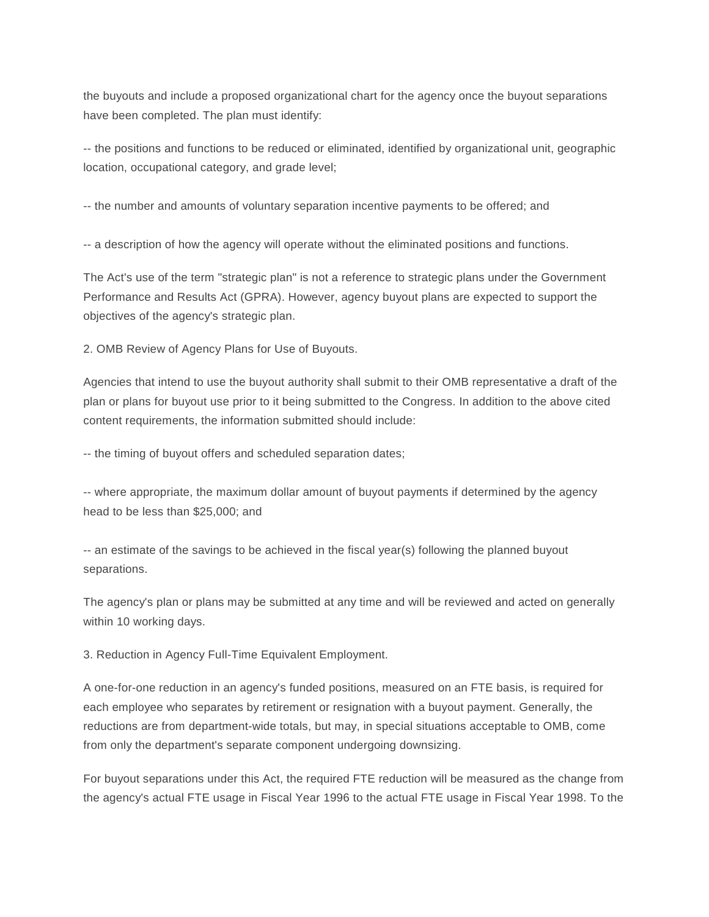the buyouts and include a proposed organizational chart for the agency once the buyout separations have been completed. The plan must identify:

-- the positions and functions to be reduced or eliminated, identified by organizational unit, geographic location, occupational category, and grade level;

-- the number and amounts of voluntary separation incentive payments to be offered; and

-- a description of how the agency will operate without the eliminated positions and functions.

The Act's use of the term "strategic plan" is not a reference to strategic plans under the Government Performance and Results Act (GPRA). However, agency buyout plans are expected to support the objectives of the agency's strategic plan.

2. OMB Review of Agency Plans for Use of Buyouts.

Agencies that intend to use the buyout authority shall submit to their OMB representative a draft of the plan or plans for buyout use prior to it being submitted to the Congress. In addition to the above cited content requirements, the information submitted should include:

-- the timing of buyout offers and scheduled separation dates;

-- where appropriate, the maximum dollar amount of buyout payments if determined by the agency head to be less than \$25,000; and

-- an estimate of the savings to be achieved in the fiscal year(s) following the planned buyout separations.

The agency's plan or plans may be submitted at any time and will be reviewed and acted on generally within 10 working days.

3. Reduction in Agency Full-Time Equivalent Employment.

A one-for-one reduction in an agency's funded positions, measured on an FTE basis, is required for each employee who separates by retirement or resignation with a buyout payment. Generally, the reductions are from department-wide totals, but may, in special situations acceptable to OMB, come from only the department's separate component undergoing downsizing.

For buyout separations under this Act, the required FTE reduction will be measured as the change from the agency's actual FTE usage in Fiscal Year 1996 to the actual FTE usage in Fiscal Year 1998. To the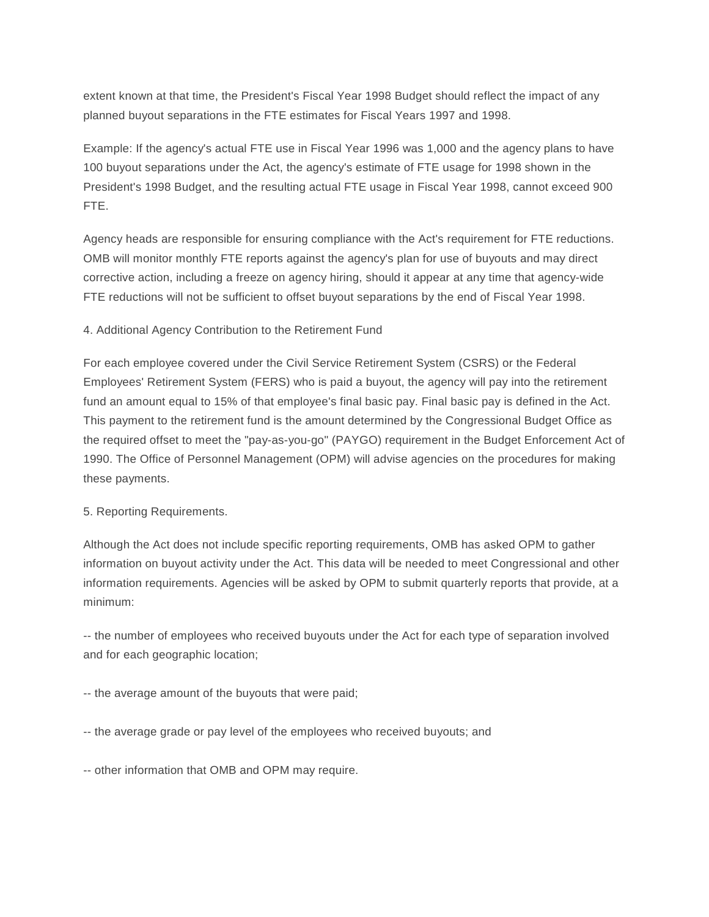extent known at that time, the President's Fiscal Year 1998 Budget should reflect the impact of any planned buyout separations in the FTE estimates for Fiscal Years 1997 and 1998.

Example: If the agency's actual FTE use in Fiscal Year 1996 was 1,000 and the agency plans to have 100 buyout separations under the Act, the agency's estimate of FTE usage for 1998 shown in the President's 1998 Budget, and the resulting actual FTE usage in Fiscal Year 1998, cannot exceed 900 FTE.

Agency heads are responsible for ensuring compliance with the Act's requirement for FTE reductions. OMB will monitor monthly FTE reports against the agency's plan for use of buyouts and may direct corrective action, including a freeze on agency hiring, should it appear at any time that agency-wide FTE reductions will not be sufficient to offset buyout separations by the end of Fiscal Year 1998.

## 4. Additional Agency Contribution to the Retirement Fund

For each employee covered under the Civil Service Retirement System (CSRS) or the Federal Employees' Retirement System (FERS) who is paid a buyout, the agency will pay into the retirement fund an amount equal to 15% of that employee's final basic pay. Final basic pay is defined in the Act. This payment to the retirement fund is the amount determined by the Congressional Budget Office as the required offset to meet the "pay-as-you-go" (PAYGO) requirement in the Budget Enforcement Act of 1990. The Office of Personnel Management (OPM) will advise agencies on the procedures for making these payments.

## 5. Reporting Requirements.

Although the Act does not include specific reporting requirements, OMB has asked OPM to gather information on buyout activity under the Act. This data will be needed to meet Congressional and other information requirements. Agencies will be asked by OPM to submit quarterly reports that provide, at a minimum:

-- the number of employees who received buyouts under the Act for each type of separation involved and for each geographic location;

-- the average amount of the buyouts that were paid;

-- the average grade or pay level of the employees who received buyouts; and

-- other information that OMB and OPM may require.